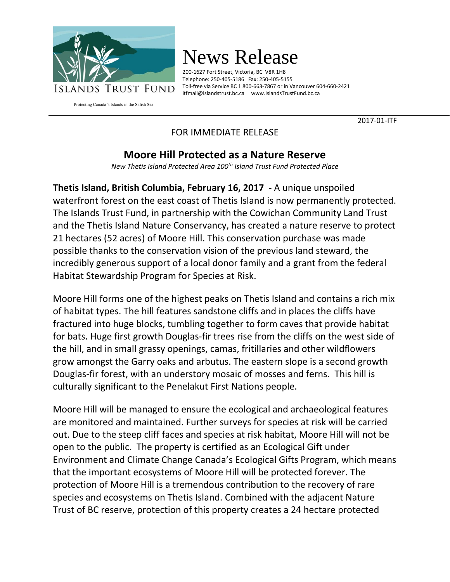

## News Release

200-1627 Fort Street, Victoria, BC V8R 1H8 Telephone: 250-405-5186 Fax: 250-405-5155 Toll-free via Service BC 1 800-663-7867 or in Vancouver 604-660-2421 [itfmail@islandstrust.bc.ca](mailto:itfmail@islandstrust.bc.ca) [www.IslandsTrustFund.bc.ca](http://www.islandstrustfund.bc.ca/)

Protecting Canada's Islands in the Salish Sea

2017-01-ITF

## FOR IMMEDIATE RELEASE

## **Moore Hill Protected as a Nature Reserve**

*New Thetis Island Protected Area 100th Island Trust Fund Protected Place*

**Thetis Island, British Columbia, February 16, 2017 -** A unique unspoiled waterfront forest on the east coast of Thetis Island is now permanently protected. The Islands Trust Fund, in partnership with the Cowichan Community Land Trust and the Thetis Island Nature Conservancy, has created a nature reserve to protect 21 hectares (52 acres) of Moore Hill. This conservation purchase was made possible thanks to the conservation vision of the previous land steward, the incredibly generous support of a local donor family and a grant from the federal Habitat Stewardship Program for Species at Risk.

Moore Hill forms one of the highest peaks on Thetis Island and contains a rich mix of habitat types. The hill features sandstone cliffs and in places the cliffs have fractured into huge blocks, tumbling together to form caves that provide habitat for bats. Huge first growth Douglas-fir trees rise from the cliffs on the west side of the hill, and in small grassy openings, camas, fritillaries and other wildflowers grow amongst the Garry oaks and arbutus. The eastern slope is a second growth Douglas-fir forest, with an understory mosaic of mosses and ferns. This hill is culturally significant to the Penelakut First Nations people.

Moore Hill will be managed to ensure the ecological and archaeological features are monitored and maintained. Further surveys for species at risk will be carried out. Due to the steep cliff faces and species at risk habitat, Moore Hill will not be open to the public. The property is certified as an Ecological Gift under Environment and Climate Change Canada's Ecological Gifts Program, which means that the important ecosystems of Moore Hill will be protected forever. The protection of Moore Hill is a tremendous contribution to the recovery of rare species and ecosystems on Thetis Island. Combined with the adjacent Nature Trust of BC reserve, protection of this property creates a 24 hectare protected